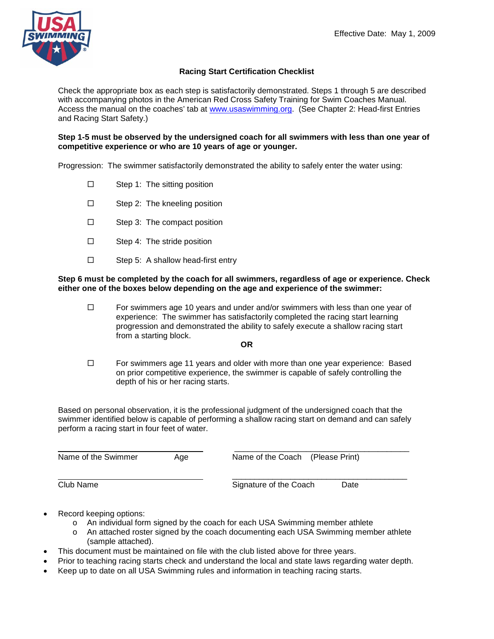

## **Racing Start Certification Checklist**

Check the appropriate box as each step is satisfactorily demonstrated. Steps 1 through 5 are described with accompanying photos in the American Red Cross Safety Training for Swim Coaches Manual. Access the manual on the coaches' tab at [www.usaswimming.org.](http://www.usaswimming.org/) (See Chapter 2: Head-first Entries and Racing Start Safety.)

**Step 1-5 must be observed by the undersigned coach for all swimmers with less than one year of competitive experience or who are 10 years of age or younger.**

Progression: The swimmer satisfactorily demonstrated the ability to safely enter the water using:

- $\square$  Step 1: The sitting position
- □ Step 2: The kneeling position
- □ Step 3: The compact position
- $\square$  Step 4: The stride position
- $\square$  Step 5: A shallow head-first entry

## **Step 6 must be completed by the coach for all swimmers, regardless of age or experience. Check either one of the boxes below depending on the age and experience of the swimmer:**

 $\Box$  For swimmers age 10 years and under and/or swimmers with less than one year of experience: The swimmer has satisfactorily completed the racing start learning progression and demonstrated the ability to safely execute a shallow racing start from a starting block.

## **OR**

 $\Box$  For swimmers age 11 years and older with more than one year experience: Based on prior competitive experience, the swimmer is capable of safely controlling the depth of his or her racing starts.

Based on personal observation, it is the professional judgment of the undersigned coach that the swimmer identified below is capable of performing a shallow racing start on demand and can safely perform a racing start in four feet of water.

| Name of the Swimmer | Age | Name of the Coach (Please Print) |      |
|---------------------|-----|----------------------------------|------|
| Club Name           |     | Signature of the Coach           | Date |

- Record keeping options:
	- o An individual form signed by the coach for each USA Swimming member athlete
	- o An attached roster signed by the coach documenting each USA Swimming member athlete (sample attached).
- This document must be maintained on file with the club listed above for three years.
- Prior to teaching racing starts check and understand the local and state laws regarding water depth.
- Keep up to date on all USA Swimming rules and information in teaching racing starts.